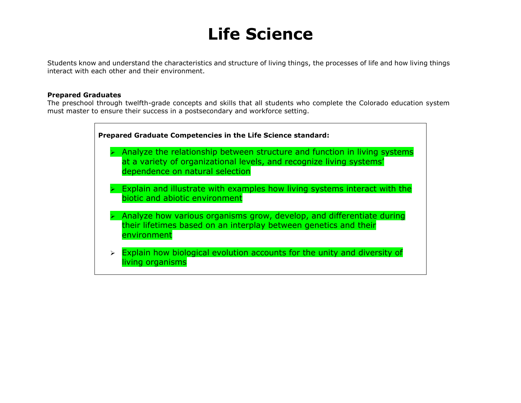## **Life Science**

Students know and understand the characteristics and structure of living things, the processes of life and how living things interact with each other and their environment.

## **Prepared Graduates**

The preschool through twelfth-grade concepts and skills that all students who complete the Colorado education system must master to ensure their success in a postsecondary and workforce setting.

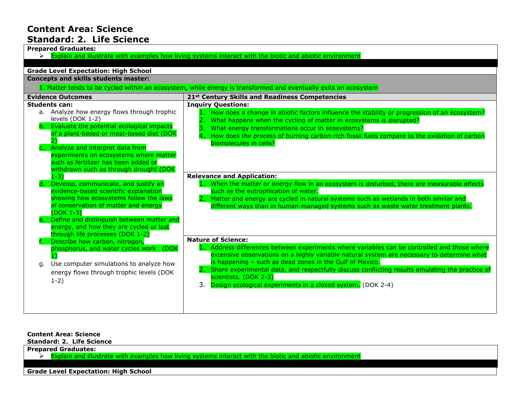## **Content Area: Science Standard: 2. Life Science**

| <b>Prepared Graduates:</b>                                                                                                |                                                                                                    |  |
|---------------------------------------------------------------------------------------------------------------------------|----------------------------------------------------------------------------------------------------|--|
| $\triangleright$ Explain and illustrate with examples how living systems interact with the biotic and abiotic environment |                                                                                                    |  |
|                                                                                                                           |                                                                                                    |  |
| <b>Grade Level Expectation: High School</b>                                                                               |                                                                                                    |  |
| <b>Concepts and skills students master:</b>                                                                               |                                                                                                    |  |
| 1. Matter tends to be cycled within an ecosystem, while energy is transformed and eventually exits an ecosystem           |                                                                                                    |  |
| <b>Evidence Outcomes</b>                                                                                                  | 21st Century Skills and Readiness Competencies                                                     |  |
| <b>Students can:</b>                                                                                                      | <b>Inquiry Questions:</b>                                                                          |  |
| a. Analyze how energy flows through trophic                                                                               | 1. How does a change in abiotic factors influence the stability or progression of an ecosystem?    |  |
| levels (DOK 1-2)                                                                                                          | What happens when the cycling of matter in ecosystems is disrupted?                                |  |
| b. Evaluate the potential ecological impacts                                                                              | What energy transformations occur in ecosystems?                                                   |  |
| of a plant-based or meat-based diet (DOK                                                                                  | How does the process of burning carbon-rich fossil fuels compare to the oxidation of carbon        |  |
| Analyze and interpret data from                                                                                           | biomolecules in cells?                                                                             |  |
| experiments on ecosystems where matter                                                                                    |                                                                                                    |  |
| such as fertilizer has been added or                                                                                      |                                                                                                    |  |
| withdrawn such as through drought (DOK                                                                                    |                                                                                                    |  |
| $1 - 3$ )                                                                                                                 | <b>Relevance and Application:</b>                                                                  |  |
| Develop, communicate, and justify an                                                                                      | 1. When the matter or energy flow in an ecosystem is disturbed, there are measurable effects       |  |
| evidence-based scientific explanation                                                                                     | such as the eutrophication of water.                                                               |  |
| showing how ecosystems follow the laws                                                                                    | Matter and energy are cycled in natural systems such as wetlands in both similar and               |  |
| of conservation of matter and energy                                                                                      | different ways than in human-managed systems such as waste water treatment plants.                 |  |
| $(DOK 1-3)$                                                                                                               |                                                                                                    |  |
| Define and distinguish between matter and                                                                                 |                                                                                                    |  |
| energy, and how they are cycled or lost                                                                                   |                                                                                                    |  |
| through life processes (DOK 1-2)                                                                                          | <b>Nature of Science:</b>                                                                          |  |
| Describe how carbon, nitrogen,<br>phosphorus, and water cycles work (DOK                                                  | 1. Address differences between experiments where variables can be controlled and those where       |  |
|                                                                                                                           | extensive observations on a highly variable natural system are necessary to determine what         |  |
| Use computer simulations to analyze how<br>а.                                                                             | is happening - such as dead zones in the Gulf of Mexico.                                           |  |
|                                                                                                                           | 2. Share experimental data, and respectfully discuss conflicting results emulating the practice of |  |
| energy flows through trophic levels (DOK                                                                                  | scientists. (DOK 2-3)                                                                              |  |
| $1-2)$                                                                                                                    | 3. Design ecological experiments in a closed system. (DOK 2-4)                                     |  |
|                                                                                                                           |                                                                                                    |  |
|                                                                                                                           |                                                                                                    |  |
|                                                                                                                           |                                                                                                    |  |

**Content Area: Science**

**Standard: 2. Life Science**

**Prepared Graduates:**

 $\triangleright$  Explain and illustrate with examples how living systems interact with the biotic and abiotic environment

**Grade Level Expectation: High School**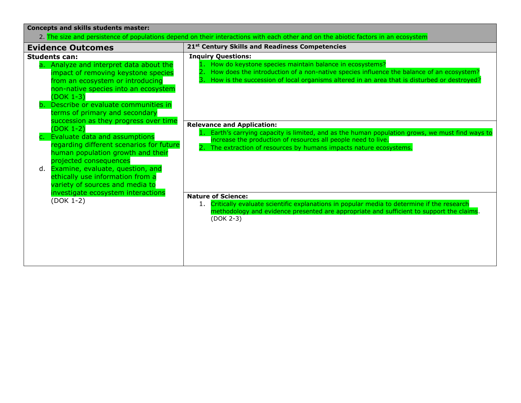| <b>Concepts and skills students master:</b>                                                                                                                                                                                                                                                                                                                                                                                                                                                                                                                                                        |                                                                                                                                                                                                                                                                                                                         |  |
|----------------------------------------------------------------------------------------------------------------------------------------------------------------------------------------------------------------------------------------------------------------------------------------------------------------------------------------------------------------------------------------------------------------------------------------------------------------------------------------------------------------------------------------------------------------------------------------------------|-------------------------------------------------------------------------------------------------------------------------------------------------------------------------------------------------------------------------------------------------------------------------------------------------------------------------|--|
| 2. The size and persistence of populations depend on their interactions with each other and on the abiotic factors in an ecosystem                                                                                                                                                                                                                                                                                                                                                                                                                                                                 |                                                                                                                                                                                                                                                                                                                         |  |
| <b>Evidence Outcomes</b>                                                                                                                                                                                                                                                                                                                                                                                                                                                                                                                                                                           | 21 <sup>st</sup> Century Skills and Readiness Competencies                                                                                                                                                                                                                                                              |  |
| <b>Students can:</b><br>a. Analyze and interpret data about the<br>impact of removing keystone species<br>from an ecosystem or introducing<br>non-native species into an ecosystem<br>$(DOK 1-3)$<br>Describe or evaluate communities in<br>h.<br>terms of primary and secondary<br>succession as they progress over time<br>$(DOK 1-2)$<br>Evaluate data and assumptions<br>regarding different scenarios for future<br>human population growth and their<br>projected consequences<br>d. Examine, evaluate, question, and<br>ethically use information from a<br>variety of sources and media to | <b>Inquiry Questions:</b><br>1. How do keystone species maintain balance in ecosystems?<br>How does the introduction of a non-native species influence the balance of an ecosystem?<br>How is the succession of local organisms altered in an area that is disturbed or destroyed?<br><b>Relevance and Application:</b> |  |
|                                                                                                                                                                                                                                                                                                                                                                                                                                                                                                                                                                                                    | Earth's carrying capacity is limited, and as the human population grows, we must find ways to<br>increase the production of resources all people need to live.<br>2. The extraction of resources by humans impacts nature ecosystems.                                                                                   |  |
| investigate ecosystem interactions<br>(DOK 1-2)                                                                                                                                                                                                                                                                                                                                                                                                                                                                                                                                                    | <b>Nature of Science:</b><br>1. Critically evaluate scientific explanations in popular media to determine if the research<br>methodology and evidence presented are appropriate and sufficient to support the claims.<br>(DOK 2-3)                                                                                      |  |